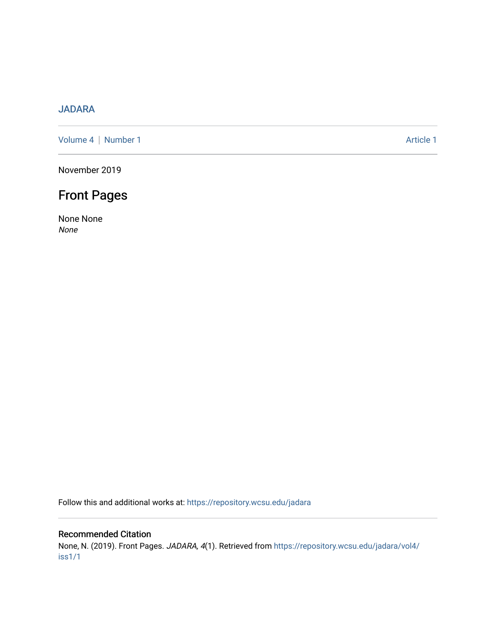## [JADARA](https://repository.wcsu.edu/jadara)

[Volume 4](https://repository.wcsu.edu/jadara/vol4) | [Number 1](https://repository.wcsu.edu/jadara/vol4/iss1) Article 1

November 2019

# Front Pages

None None None

Follow this and additional works at: [https://repository.wcsu.edu/jadara](https://repository.wcsu.edu/jadara?utm_source=repository.wcsu.edu%2Fjadara%2Fvol4%2Fiss1%2F1&utm_medium=PDF&utm_campaign=PDFCoverPages)

### Recommended Citation

None, N. (2019). Front Pages. JADARA, 4(1). Retrieved from [https://repository.wcsu.edu/jadara/vol4/](https://repository.wcsu.edu/jadara/vol4/iss1/1?utm_source=repository.wcsu.edu%2Fjadara%2Fvol4%2Fiss1%2F1&utm_medium=PDF&utm_campaign=PDFCoverPages) [iss1/1](https://repository.wcsu.edu/jadara/vol4/iss1/1?utm_source=repository.wcsu.edu%2Fjadara%2Fvol4%2Fiss1%2F1&utm_medium=PDF&utm_campaign=PDFCoverPages)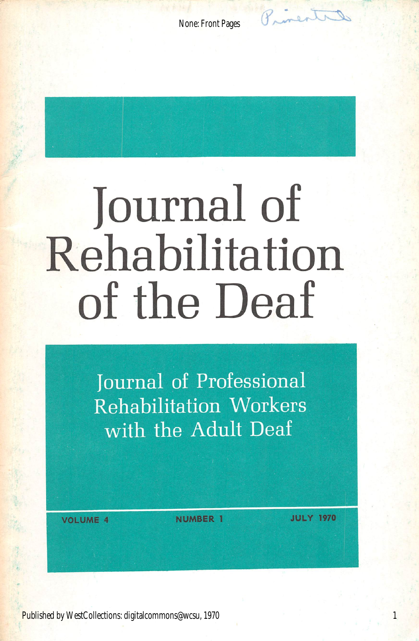Princentil

**None: Front Pages** 

# **Journal of** Rehabilitation of the Deaf

Journal of Professional **Rehabilitation Workers** with the Adult Deaf

**VOLUME 4** 

**NUMBER 1** 

**JULY 1970**